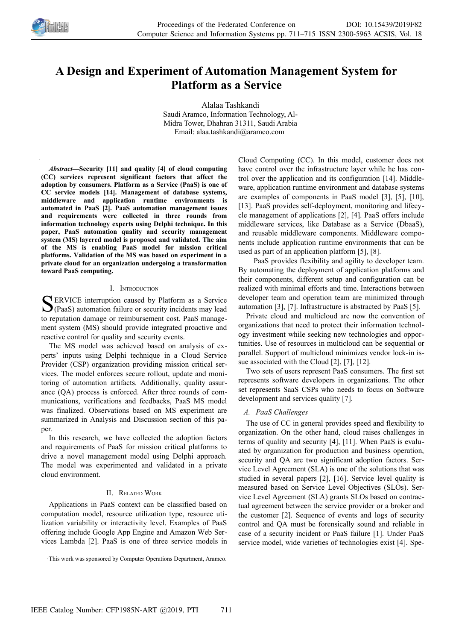

# **A Design and Experiment of Automation Management System for Platform as a Service**

Alalaa Tashkandi Saudi Aramco, Information Technology, Al-Midra Tower, Dhahran 31311, Saudi Arabia Email: alaa.tashkandi@aramco.com

*Abstract—***Security [11] and quality [4] of cloud computing (CC) services represent significant factors that affect the adoption by consumers. Platform as a Service (PaaS) is one of CC service models [14]. Management of database systems, middleware and application runtime environments is automated in PaaS [2]. PaaS automation management issues and requirements were collected in three rounds from information technology experts using Delphi technique. In this paper, PaaS automation quality and security management system (MS) layered model is proposed and validated. The aim of the MS is enabling PaaS model for mission critical platforms. Validation of the MS was based on experiment in a private cloud for an organization undergoing a transformation toward PaaS computing.**

### I. INTRODUCTION

ERVICE interruption caused by Platform as a Service SERVICE interruption caused by Platform as a Service<br>(PaaS) automation failure or security incidents may lead to reputation damage or reimbursement cost. PaaS management system (MS) should provide integrated proactive and reactive control for quality and security events.

The MS model was achieved based on analysis of experts' inputs using Delphi technique in a Cloud Service Provider (CSP) organization providing mission critical services. The model enforces secure rollout, update and monitoring of automation artifacts. Additionally, quality assurance (QA) process is enforced. After three rounds of communications, verifications and feedbacks, PaaS MS model was finalized. Observations based on MS experiment are summarized in Analysis and Discussion section of this paper.

In this research, we have collected the adoption factors and requirements of PaaS for mission critical platforms to drive a novel management model using Delphi approach. The model was experimented and validated in a private cloud environment.

#### II. RELATED WORK

Applications in PaaS context can be classified based on computation model, resource utilization type, resource utilization variability or interactivity level. Examples of PaaS offering include Google App Engine and Amazon Web Services Lambda [2]. PaaS is one of three service models in Cloud Computing (CC). In this model, customer does not have control over the infrastructure layer while he has control over the application and its configuration [14]. Middleware, application runtime environment and database systems are examples of components in PaaS model [3], [5], [10], [13]. PaaS provides self-deployment, monitoring and lifecycle management of applications [2], [4]. PaaS offers include middleware services, like Database as a Service (DbaaS), and reusable middleware components. Middleware components include application runtime environments that can be used as part of an application platform [5], [8].

PaaS provides flexibility and agility to developer team. By automating the deployment of application platforms and their components, different setup and configuration can be realized with minimal efforts and time. Interactions between developer team and operation team are minimized through automation [3], [7]. Infrastructure is abstracted by PaaS [5].

Private cloud and multicloud are now the convention of organizations that need to protect their information technology investment while seeking new technologies and opportunities. Use of resources in multicloud can be sequential or parallel. Support of multicloud minimizes vendor lock-in issue associated with the Cloud [2], [7], [12].

Two sets of users represent PaaS consumers. The first set represents software developers in organizations. The other set represents SaaS CSPs who needs to focus on Software development and services quality [7].

### *A. PaaS Challenges*

The use of CC in general provides speed and flexibility to organization. On the other hand, cloud raises challenges in terms of quality and security [4], [11]. When PaaS is evaluated by organization for production and business operation, security and QA are two significant adoption factors. Service Level Agreement (SLA) is one of the solutions that was studied in several papers [2], [16]. Service level quality is measured based on Service Level Objectives (SLOs). Service Level Agreement (SLA) grants SLOs based on contractual agreement between the service provider or a broker and the customer [2]. Sequence of events and logs of security control and QA must be forensically sound and reliable in case of a security incident or PaaS failure [1]. Under PaaS service model, wide varieties of technologies exist [4]. Spe-

This work was sponsored by Computer Operations Department, Aramco.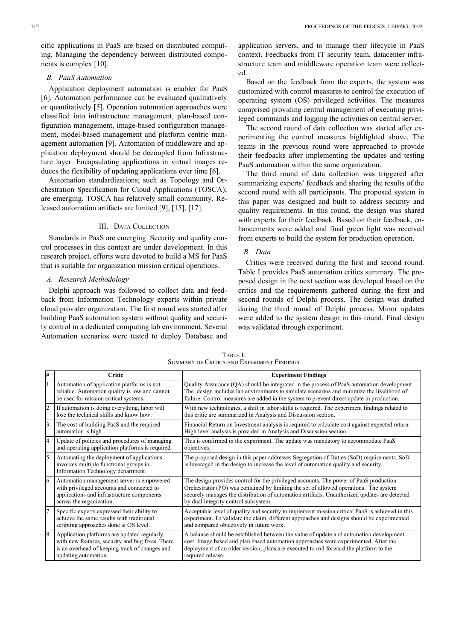cific applications in PaaS are based on distributed computing. Managing the dependency between distributed components is complex [10].

#### *B. PaaS Automation*

Application deployment automation is enabler for PaaS [6]. Automation performance can be evaluated qualitatively or quantitatively [5]. Operation automation approaches were classified into infrastructure management, plan-based configuration management, image-based configuration management, model-based management and platform centric management automation [9]. Automation of middleware and application deployment should be decoupled from Infrastructure layer. Encapsulating applications in virtual images reduces the flexibility of updating applications over time [6].

Automation standardizations; such as Topology and Orchestration Specification for Cloud Applications (TOSCA); are emerging. TOSCA has relatively small community. Released automation artifacts are limited [9], [15], [17].

#### III. DATA COLLECTION

Standards in PaaS are emerging. Security and quality control processes in this context are under development. In this research project, efforts were devoted to build a MS for PaaS that is suitable for organization mission critical operations.

## *A. Research Methodology*

Delphi approach was followed to collect data and feedback from Information Technology experts within private cloud provider organization. The first round was started after building PaaS automation system without quality and security control in a dedicated computing lab environment. Several Automation scenarios were tested to deploy Database and

application servers, and to manage their lifecycle in PaaS context. Feedbacks from IT security team, datacenter infrastructure team and middleware operation team were collected.

Based on the feedback from the experts, the system was customized with control measures to control the execution of operating system (OS) privileged activities. The measures comprised providing central management of executing privileged commands and logging the activities on central server.

The second round of data collection was started after experimenting the control measures highlighted above. The teams in the previous round were approached to provide their feedbacks after implementing the updates and testing PaaS automation within the same organization.

The third round of data collection was triggered after summarizing experts' feedback and sharing the results of the second round with all participants. The proposed system in this paper was designed and built to address security and quality requirements. In this round, the design was shared with experts for their feedback. Based on their feedback, enhancements were added and final green light was received from experts to build the system for production operation.

#### *B. Data*

Critics were received during the first and second round. Table I provides PaaS automation critics summary. The proposed design in the next section was developed based on the critics and the requirements gathered during the first and second rounds of Delphi process. The design was drafted during the third round of Delphi process. Minor updates were added to the system design in this round. Final design was validated through experiment.

| TABLE I.                                   |
|--------------------------------------------|
| SUMMARY OF CRITICS AND EXPERIMENT FINDINGS |

| l# | Critic                                                                                                                                                                    | <b>Experiment Findings</b>                                                                                                                                                                                                                                                                                             |
|----|---------------------------------------------------------------------------------------------------------------------------------------------------------------------------|------------------------------------------------------------------------------------------------------------------------------------------------------------------------------------------------------------------------------------------------------------------------------------------------------------------------|
|    | Automation of application platforms is not<br>reliable. Automation quality is low and cannot<br>be used for mission critical systems.                                     | Quality Assurance (QA) should be integrated in the process of PaaS automation development.<br>The design includes lab environments to simulate scenarios and minimize the likelihood of<br>failure. Control measures are added in the system to prevent direct update in production.                                   |
| 2  | If automation is doing everything, labor will<br>lose the technical skills and know how.                                                                                  | With new technologies, a shift in labor skills is required. The experiment findings related to<br>this critic are summarized in Analysis and Discussion section.                                                                                                                                                       |
| 13 | The cost of building PaaS and the required<br>automation is high.                                                                                                         | Financial Return on Investment analysis is required to calculate cost against expected return.<br>High level analysis is provided in Analysis and Discussion section.                                                                                                                                                  |
| 14 | Update of policies and procedures of managing<br>and operating application platforms is required.                                                                         | This is confirmed in the experiment. The update was mandatory to accommodate PaaS<br>objectives.                                                                                                                                                                                                                       |
| 5  | Automating the deployment of applications<br>involves multiple functional groups in<br>Information Technology department.                                                 | The proposed design in this paper addresses Segregation of Duties (SoD) requirements. SoD<br>is leveraged in the design to increase the level of automation quality and security.                                                                                                                                      |
| 16 | Automation management server is empowered<br>with privileged accounts and connected to<br>applications and infrastructure components<br>across the organization.          | The design provides control for the privileged accounts. The power of PaaS production<br>Orchestrator (PO) was contained by limiting the set of allowed operations. The system<br>securely manages the distribution of automation artifacts. Unauthorized updates are detected<br>by dual integrity control subsystem. |
|    | Specific experts expressed their ability to<br>achieve the same results with traditional<br>scripting approaches done at OS level.                                        | Acceptable level of quality and security to implement mission critical PaaS is achieved in this<br>experiment. To validate the claim, different approaches and designs should be experimented<br>and compared objectively in future work.                                                                              |
| 8  | Application platforms are updated regularly<br>with new features, security and bug fixes. There<br>is an overhead of keeping track of changes and<br>updating automation. | A balance should be established between the value of update and automation development<br>cost. Image based and plan based automation approaches were experimented. After the<br>deployment of an older version, plans are executed to roll forward the platform to the<br>required release.                           |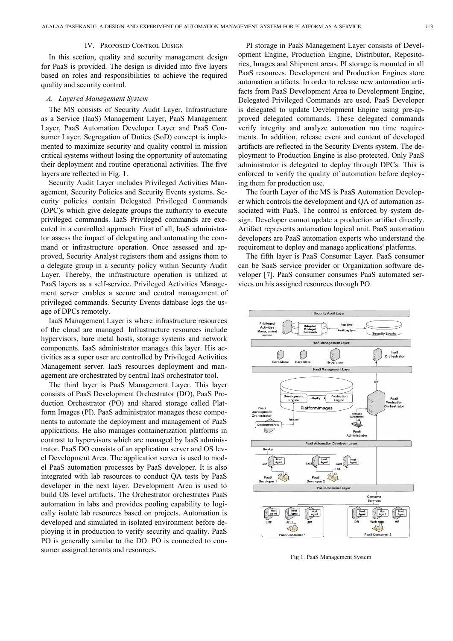#### IV. PROPOSED CONTROL DESIGN

In this section, quality and security management design for PaaS is provided. The design is divided into five layers based on roles and responsibilities to achieve the required quality and security control.

#### *A. Layered Management System*

The MS consists of Security Audit Layer, Infrastructure as a Service (IaaS) Management Layer, PaaS Management Layer, PaaS Automation Developer Layer and PaaS Consumer Layer. Segregation of Duties (SoD) concept is implemented to maximize security and quality control in mission critical systems without losing the opportunity of automating their deployment and routine operational activities. The five layers are reflected in Fig. 1.

Security Audit Layer includes Privileged Activities Management, Security Policies and Security Events systems. Security policies contain Delegated Privileged Commands (DPC)s which give delegate groups the authority to execute privileged commands. IaaS Privileged commands are executed in a controlled approach. First of all, IaaS administrator assess the impact of delegating and automating the command or infrastructure operation. Once assessed and approved, Security Analyst registers them and assigns them to a delegate group in a security policy within Security Audit Layer. Thereby, the infrastructure operation is utilized at PaaS layers as a self-service. Privileged Activities Management server enables a secure and central management of privileged commands. Security Events database logs the usage of DPCs remotely.

IaaS Management Layer is where infrastructure resources of the cloud are managed. Infrastructure resources include hypervisors, bare metal hosts, storage systems and network components. IaaS administrator manages this layer. His activities as a super user are controlled by Privileged Activities Management server. IaaS resources deployment and management are orchestrated by central IaaS orchestrator tool.

The third layer is PaaS Management Layer. This layer consists of PaaS Development Orchestrator (DO), PaaS Production Orchestrator (PO) and shared storage called Platform Images (PI). PaaS administrator manages these components to automate the deployment and management of PaaS applications. He also manages containerization platforms in contrast to hypervisors which are managed by IaaS administrator. PaaS DO consists of an application server and OS level Development Area. The application server is used to model PaaS automation processes by PaaS developer. It is also integrated with lab resources to conduct QA tests by PaaS developer in the next layer. Development Area is used to build OS level artifacts. The Orchestrator orchestrates PaaS automation in labs and provides pooling capability to logically isolate lab resources based on projects. Automation is developed and simulated in isolated environment before deploying it in production to verify security and quality. PaaS PO is generally similar to the DO. PO is connected to consumer assigned tenants and resources.

PI storage in PaaS Management Layer consists of Development Engine, Production Engine, Distributor, Repositories, Images and Shipment areas. PI storage is mounted in all PaaS resources. Development and Production Engines store automation artifacts. In order to release new automation artifacts from PaaS Development Area to Development Engine, Delegated Privileged Commands are used. PaaS Developer is delegated to update Development Engine using pre-approved delegated commands. These delegated commands verify integrity and analyze automation run time requirements. In addition, release event and content of developed artifacts are reflected in the Security Events system. The deployment to Production Engine is also protected. Only PaaS administrator is delegated to deploy through DPCs. This is enforced to verify the quality of automation before deploying them for production use.

The fourth Layer of the MS is PaaS Automation Developer which controls the development and QA of automation associated with PaaS. The control is enforced by system design. Developer cannot update a production artifact directly. Artifact represents automation logical unit. PaaS automation developers are PaaS automation experts who understand the requirement to deploy and manage applications' platforms.

The fifth layer is PaaS Consumer Layer. PaaS consumer can be SaaS service provider or Organization software developer [7]. PaaS consumer consumes PaaS automated services on his assigned resources through PO.



Fig 1. PaaS Management System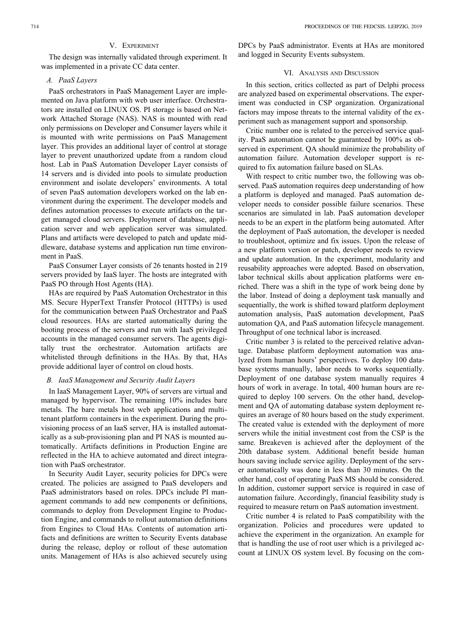## V. EXPERIMENT

The design was internally validated through experiment. It was implemented in a private CC data center.

## *A. PaaS Layers*

PaaS orchestrators in PaaS Management Layer are implemented on Java platform with web user interface. Orchestrators are installed on LINUX OS. PI storage is based on Network Attached Storage (NAS). NAS is mounted with read only permissions on Developer and Consumer layers while it is mounted with write permissions on PaaS Management layer. This provides an additional layer of control at storage layer to prevent unauthorized update from a random cloud host. Lab in PaaS Automation Developer Layer consists of 14 servers and is divided into pools to simulate production environment and isolate developers' environments. A total of seven PaaS automation developers worked on the lab environment during the experiment. The developer models and defines automation processes to execute artifacts on the target managed cloud servers. Deployment of database, application server and web application server was simulated. Plans and artifacts were developed to patch and update middleware, database systems and application run time environment in PaaS.

PaaS Consumer Layer consists of 26 tenants hosted in 219 servers provided by IaaS layer. The hosts are integrated with PaaS PO through Host Agents (HA).

HAs are required by PaaS Automation Orchestrator in this MS. Secure HyperText Transfer Protocol (HTTPs) is used for the communication between PaaS Orchestrator and PaaS cloud resources. HAs are started automatically during the booting process of the servers and run with IaaS privileged accounts in the managed consumer servers. The agents digitally trust the orchestrator. Automation artifacts are whitelisted through definitions in the HAs. By that, HAs provide additional layer of control on cloud hosts.

## *B. IaaS Management and Security Audit Layers*

In IaaS Management Layer, 90% of servers are virtual and managed by hypervisor. The remaining 10% includes bare metals. The bare metals host web applications and multitenant platform containers in the experiment. During the provisioning process of an IaaS server, HA is installed automatically as a sub-provisioning plan and PI NAS is mounted automatically. Artifacts definitions in Production Engine are reflected in the HA to achieve automated and direct integration with PaaS orchestrator.

In Security Audit Layer, security policies for DPCs were created. The policies are assigned to PaaS developers and PaaS administrators based on roles. DPCs include PI management commands to add new components or definitions, commands to deploy from Development Engine to Production Engine, and commands to rollout automation definitions from Engines to Cloud HAs. Contents of automation artifacts and definitions are written to Security Events database during the release, deploy or rollout of these automation units. Management of HAs is also achieved securely using

DPCs by PaaS administrator. Events at HAs are monitored and logged in Security Events subsystem.

#### VI. ANALYSIS AND DISCUSSION

In this section, critics collected as part of Delphi process are analyzed based on experimental observations. The experiment was conducted in CSP organization. Organizational factors may impose threats to the internal validity of the experiment such as management support and sponsorship.

Critic number one is related to the perceived service quality. PaaS automation cannot be guaranteed by 100% as observed in experiment. QA should minimize the probability of automation failure. Automation developer support is required to fix automation failure based on SLAs.

With respect to critic number two, the following was observed. PaaS automation requires deep understanding of how a platform is deployed and managed. PaaS automation developer needs to consider possible failure scenarios. These scenarios are simulated in lab. PaaS automation developer needs to be an expert in the platform being automated. After the deployment of PaaS automation, the developer is needed to troubleshoot, optimize and fix issues. Upon the release of a new platform version or patch, developer needs to review and update automation. In the experiment, modularity and reusability approaches were adopted. Based on observation, labor technical skills about application platforms were enriched. There was a shift in the type of work being done by the labor. Instead of doing a deployment task manually and sequentially, the work is shifted toward platform deployment automation analysis, PaaS automation development, PaaS automation QA, and PaaS automation lifecycle management. Throughput of one technical labor is increased.

Critic number 3 is related to the perceived relative advantage. Database platform deployment automation was analyzed from human hours' perspectives. To deploy 100 database systems manually, labor needs to works sequentially. Deployment of one database system manually requires 4 hours of work in average. In total, 400 human hours are required to deploy 100 servers. On the other hand, development and QA of automating database system deployment requires an average of 80 hours based on the study experiment. The created value is extended with the deployment of more servers while the initial investment cost from the CSP is the same. Breakeven is achieved after the deployment of the 20th database system. Additional benefit beside human hours saving include service agility. Deployment of the server automatically was done in less than 30 minutes. On the other hand, cost of operating PaaS MS should be considered. In addition, customer support service is required in case of automation failure. Accordingly, financial feasibility study is required to measure return on PaaS automation investment.

Critic number 4 is related to PaaS compatibility with the organization. Policies and procedures were updated to achieve the experiment in the organization. An example for that is handling the use of root user which is a privileged account at LINUX OS system level. By focusing on the com